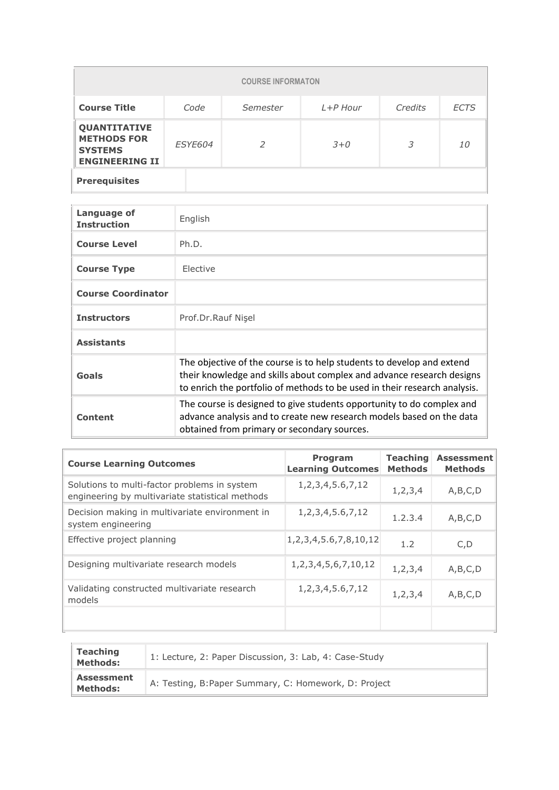|                                                                                                 |      | <b>COURSE INFORMATON</b> |            |         |             |  |  |
|-------------------------------------------------------------------------------------------------|------|--------------------------|------------|---------|-------------|--|--|
| <b>Course Title</b>                                                                             | Code | Semester                 | $L+P$ Hour | Credits | <b>ECTS</b> |  |  |
| <b>QUANTITATIVE</b><br><b>METHODS FOR</b><br>ESYE604<br><b>SYSTEMS</b><br><b>ENGINEERING II</b> |      | $\mathcal{P}$            | $3 + 0$    | 3       | 10          |  |  |
| <b>Prerequisites</b>                                                                            |      |                          |            |         |             |  |  |

| Language of<br><b>Instruction</b> | English                                                                                                                                                                                                                     |
|-----------------------------------|-----------------------------------------------------------------------------------------------------------------------------------------------------------------------------------------------------------------------------|
| <b>Course Level</b>               | Ph.D.                                                                                                                                                                                                                       |
| <b>Course Type</b>                | Elective                                                                                                                                                                                                                    |
| <b>Course Coordinator</b>         |                                                                                                                                                                                                                             |
| <b>Instructors</b>                | Prof.Dr.Rauf Nisel                                                                                                                                                                                                          |
| <b>Assistants</b>                 |                                                                                                                                                                                                                             |
| Goals                             | The objective of the course is to help students to develop and extend<br>their knowledge and skills about complex and advance research designs<br>to enrich the portfolio of methods to be used in their research analysis. |
| Content                           | The course is designed to give students opportunity to do complex and<br>advance analysis and to create new research models based on the data<br>obtained from primary or secondary sources.                                |

| <b>Course Learning Outcomes</b>                                                                 | Program<br><b>Learning Outcomes</b> | <b>Teaching</b><br><b>Methods</b> | <b>Assessment</b><br><b>Methods</b> |
|-------------------------------------------------------------------------------------------------|-------------------------------------|-----------------------------------|-------------------------------------|
| Solutions to multi-factor problems in system<br>engineering by multivariate statistical methods | 1, 2, 3, 4, 5. 6, 7, 12             | 1, 2, 3, 4                        | A, B, C, D                          |
| Decision making in multivariate environment in<br>system engineering                            | 1, 2, 3, 4, 5. 6, 7, 12             | 1.2.3.4                           | A,B,C,D                             |
| Effective project planning                                                                      | 1, 2, 3, 4, 5.6, 7, 8, 10, 12       | 1.2                               | C, D                                |
| Designing multivariate research models                                                          | 1, 2, 3, 4, 5, 6, 7, 10, 12         | 1, 2, 3, 4                        | A,B,C,D                             |
| Validating constructed multivariate research<br>models                                          | 1, 2, 3, 4, 5. 6, 7, 12             | 1,2,3,4                           | A, B, C, D                          |
|                                                                                                 |                                     |                                   |                                     |

| <b>Teaching</b><br><b>Methods:</b>   | 1: Lecture, 2: Paper Discussion, 3: Lab, 4: Case-Study |
|--------------------------------------|--------------------------------------------------------|
| <b>Assessment</b><br><b>Methods:</b> | A: Testing, B: Paper Summary, C: Homework, D: Project  |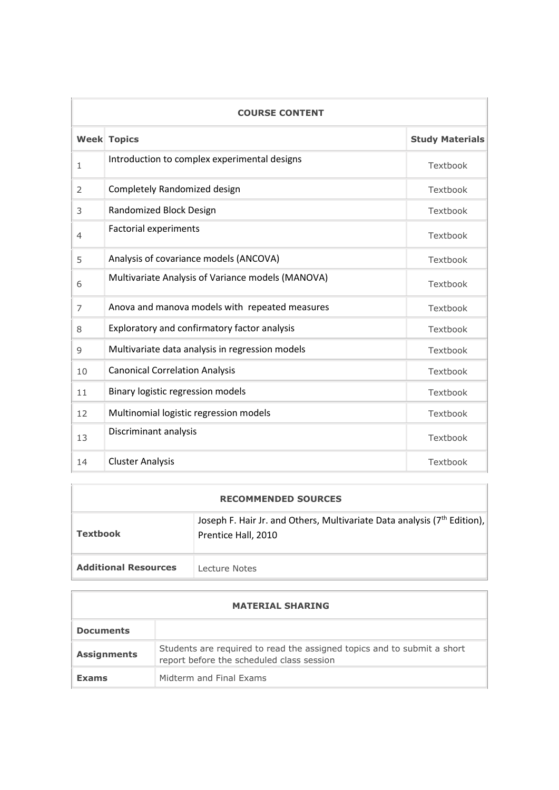|                | <b>COURSE CONTENT</b>                             |          |  |  |  |  |
|----------------|---------------------------------------------------|----------|--|--|--|--|
|                | <b>Week Topics</b>                                |          |  |  |  |  |
| $\mathbf{1}$   | Introduction to complex experimental designs      | Textbook |  |  |  |  |
| 2              | Completely Randomized design                      | Textbook |  |  |  |  |
| 3              | Randomized Block Design                           | Textbook |  |  |  |  |
| $\overline{4}$ | <b>Factorial experiments</b>                      | Textbook |  |  |  |  |
| 5              | Analysis of covariance models (ANCOVA)            | Textbook |  |  |  |  |
| 6              | Multivariate Analysis of Variance models (MANOVA) | Textbook |  |  |  |  |
| $\overline{7}$ | Anova and manova models with repeated measures    | Textbook |  |  |  |  |
| 8              | Exploratory and confirmatory factor analysis      | Textbook |  |  |  |  |
| 9              | Multivariate data analysis in regression models   | Textbook |  |  |  |  |
| 10             | <b>Canonical Correlation Analysis</b>             | Textbook |  |  |  |  |
| 11             | Binary logistic regression models                 | Textbook |  |  |  |  |
| 12             | Multinomial logistic regression models            | Textbook |  |  |  |  |
| 13             | Discriminant analysis                             | Textbook |  |  |  |  |
| 14             | <b>Cluster Analysis</b>                           | Textbook |  |  |  |  |

|                             | <b>RECOMMENDED SOURCES</b>                                                                                  |
|-----------------------------|-------------------------------------------------------------------------------------------------------------|
| <b>Textbook</b>             | Joseph F. Hair Jr. and Others, Multivariate Data analysis (7 <sup>th</sup> Edition),<br>Prentice Hall, 2010 |
| <b>Additional Resources</b> | Lecture Notes                                                                                               |

| <b>MATERIAL SHARING</b> |                                                                                                                      |  |  |  |
|-------------------------|----------------------------------------------------------------------------------------------------------------------|--|--|--|
| <b>Documents</b>        |                                                                                                                      |  |  |  |
| <b>Assignments</b>      | Students are required to read the assigned topics and to submit a short<br>report before the scheduled class session |  |  |  |
| <b>Exams</b>            | Midterm and Final Exams                                                                                              |  |  |  |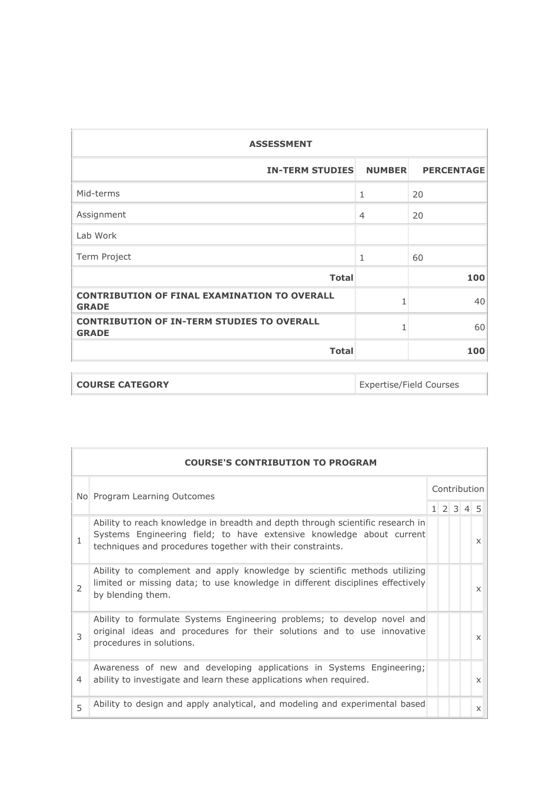| <b>ASSESSMENT</b>                                                   |                |     |  |  |  |  |  |
|---------------------------------------------------------------------|----------------|-----|--|--|--|--|--|
| <b>IN-TERM STUDIES</b><br><b>NUMBER</b><br><b>PERCENTAGE</b>        |                |     |  |  |  |  |  |
| Mid-terms                                                           | 1              | 20  |  |  |  |  |  |
| Assignment                                                          | $\overline{4}$ | 20  |  |  |  |  |  |
| Lab Work                                                            |                |     |  |  |  |  |  |
| Term Project                                                        | $\mathbf{1}$   | 60  |  |  |  |  |  |
| <b>Total</b>                                                        |                | 100 |  |  |  |  |  |
| <b>CONTRIBUTION OF FINAL EXAMINATION TO OVERALL</b><br><b>GRADE</b> | 1              | 40  |  |  |  |  |  |
| <b>CONTRIBUTION OF IN-TERM STUDIES TO OVERALL</b><br><b>GRADE</b>   | 1              | 60  |  |  |  |  |  |
| <b>Total</b>                                                        |                | 100 |  |  |  |  |  |

| <b>COURSE CATEGORY</b> | Expertise/Field Courses |
|------------------------|-------------------------|
|                        |                         |

|                              | <b>COURSE'S CONTRIBUTION TO PROGRAM</b>                                                                                                                                                                              |              |  |  |                     |                           |  |
|------------------------------|----------------------------------------------------------------------------------------------------------------------------------------------------------------------------------------------------------------------|--------------|--|--|---------------------|---------------------------|--|
| No Program Learning Outcomes |                                                                                                                                                                                                                      | Contribution |  |  |                     |                           |  |
|                              |                                                                                                                                                                                                                      |              |  |  | $1 \t2 \t3 \t4 \t5$ |                           |  |
| 1                            | Ability to reach knowledge in breadth and depth through scientific research in<br>Systems Engineering field; to have extensive knowledge about current<br>techniques and procedures together with their constraints. |              |  |  |                     | $\boldsymbol{\mathsf{x}}$ |  |
| $\overline{2}$               | Ability to complement and apply knowledge by scientific methods utilizing<br>limited or missing data; to use knowledge in different disciplines effectively<br>by blending them.                                     |              |  |  |                     | $\boldsymbol{\mathsf{x}}$ |  |
| 3                            | Ability to formulate Systems Engineering problems; to develop novel and<br>original ideas and procedures for their solutions and to use innovative<br>procedures in solutions.                                       |              |  |  |                     | $\times$                  |  |
| 4                            | Awareness of new and developing applications in Systems Engineering;<br>ability to investigate and learn these applications when required.                                                                           |              |  |  |                     | $\times$                  |  |
| 5                            | Ability to design and apply analytical, and modeling and experimental based                                                                                                                                          |              |  |  |                     | $\times$                  |  |